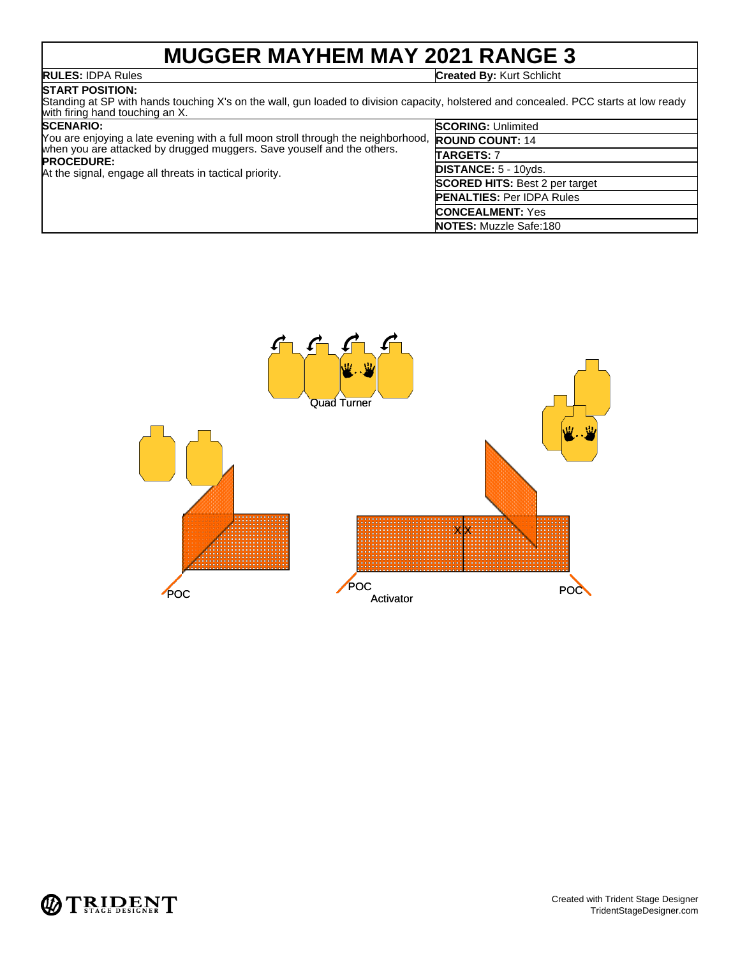## **MUGGER MAYHEM MAY 2021 RANGE 3**

**RULES:** IDPA Rules **Created By:** Kurt Schlicht

## **START POSITION:**

Standing at SP with hands touching X's on the wall, gun loaded to division capacity, holstered and concealed. PCC starts at low ready with firing hand touching an X.

| <b>SCENARIO:</b>                                                                            | <b>SCORING: Unlimited</b>             |
|---------------------------------------------------------------------------------------------|---------------------------------------|
| You are enjoying a late evening with a full moon stroll through the neighborhood,           | <b>ROUND COUNT: 14</b>                |
| when you are attacked by drugged muggers. Save youself and the others.<br><b>PROCEDURE:</b> | TARGETS: 7                            |
| At the signal, engage all threats in tactical priority.                                     | <b>DISTANCE: 5 - 10yds.</b>           |
|                                                                                             | <b>SCORED HITS: Best 2 per target</b> |
|                                                                                             | <b>PENALTIES: Per IDPA Rules</b>      |
|                                                                                             | <b>CONCEALMENT: Yes</b>               |
|                                                                                             | <b>NOTES:</b> Muzzle Safe:180         |



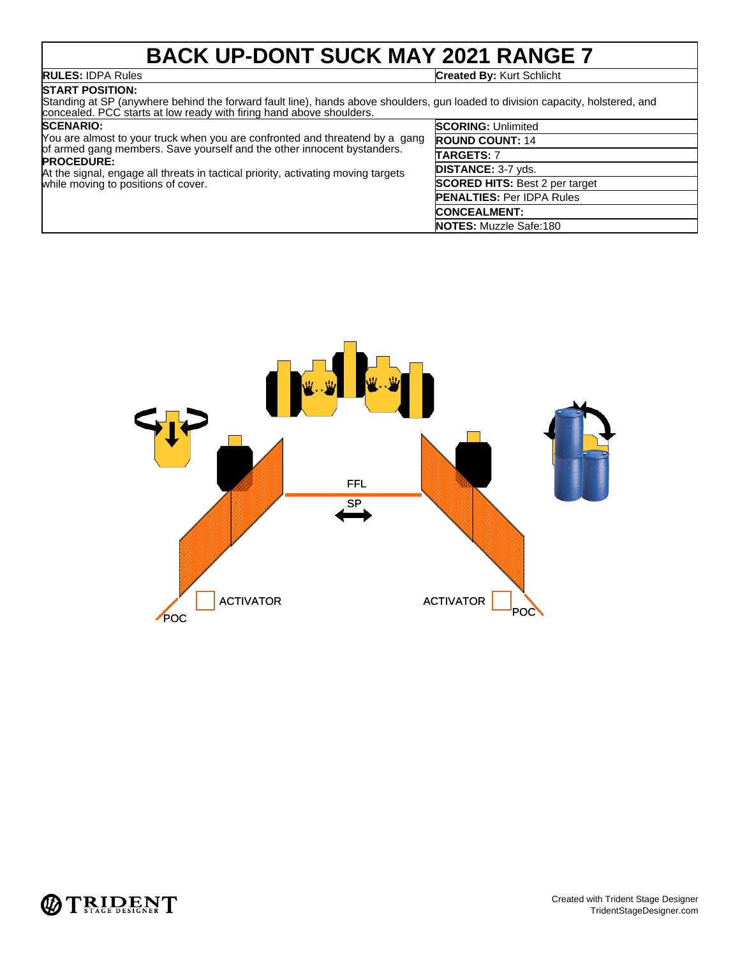## **BACK UP-DONT SUCK MAY 2021 RANGE 7**

## **START POSITION:**

**RULES:** IDPA Rules **Created By:** Kurt Schlicht

### Standing at SP (anywhere behind the forward fault line), hands above shoulders, gun loaded to division capacity, holstered, and concealed. PCC starts at low ready with firing hand above shoulders.

### **SCENARIO:**

You are almost to your truck when you are confronted and threatend by a gang of armed gang members. Save yourself and the other innocent bystanders. **PROCEDURE:** At the signal, engage all threats in tactical priority, activating moving targets while moving to positions of cover.



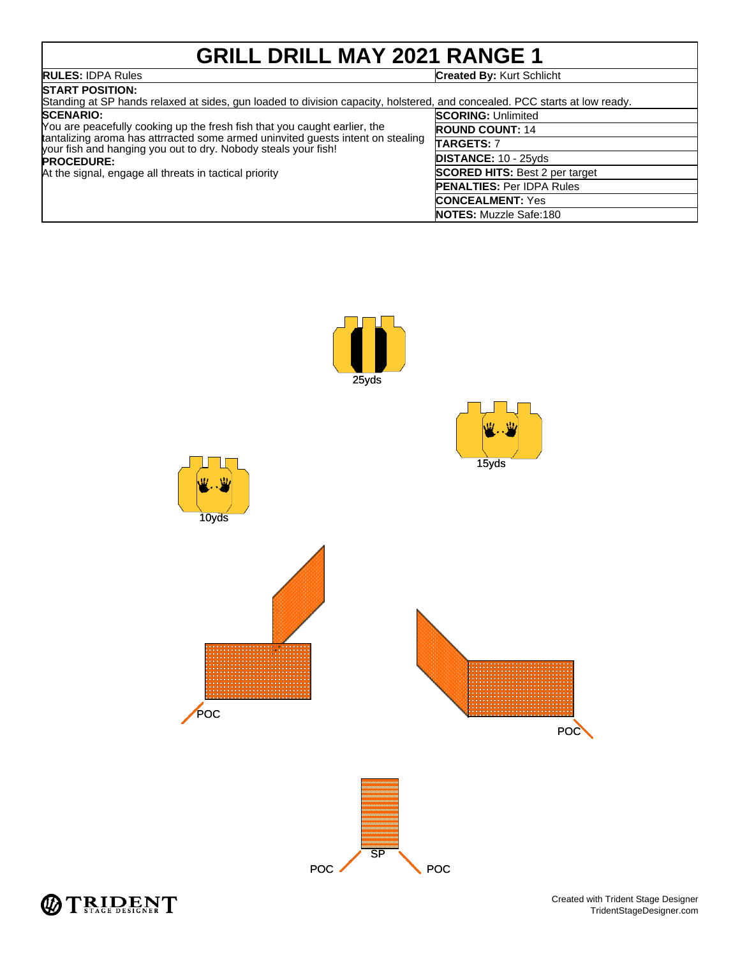# **GRILL DRILL MAY 2021 RANGE 1**

| <b>RULES: IDPA Rules</b> | <b>Created By: Kurt Schlicht</b> |
|--------------------------|----------------------------------|
|                          |                                  |

| <b>START POSITION:</b><br>Standing at SP hands relaxed at sides, gun loaded to division capacity, holstered, and concealed. PCC starts at low ready.                                                                                                                                                                              |                                       |  |
|-----------------------------------------------------------------------------------------------------------------------------------------------------------------------------------------------------------------------------------------------------------------------------------------------------------------------------------|---------------------------------------|--|
| <b>SCENARIO:</b><br>You are peacefully cooking up the fresh fish that you caught earlier, the<br>tantalizing aroma has attrracted some armed uninvited quests intent on stealing<br>your fish and hanging you out to dry. Nobody steals your fish!<br><b>PROCEDURE:</b><br>At the signal, engage all threats in tactical priority | <b>SCORING: Unlimited</b>             |  |
|                                                                                                                                                                                                                                                                                                                                   | <b>ROUND COUNT: 14</b>                |  |
|                                                                                                                                                                                                                                                                                                                                   | <b>TARGETS: 7</b>                     |  |
|                                                                                                                                                                                                                                                                                                                                   | <b>DISTANCE: 10 - 25yds</b>           |  |
|                                                                                                                                                                                                                                                                                                                                   | <b>SCORED HITS: Best 2 per target</b> |  |
|                                                                                                                                                                                                                                                                                                                                   | <b>PENALTIES: Per IDPA Rules</b>      |  |
|                                                                                                                                                                                                                                                                                                                                   | <b>CONCEALMENT: Yes</b>               |  |
|                                                                                                                                                                                                                                                                                                                                   | <b>NOTES:</b> Muzzle Safe:180         |  |



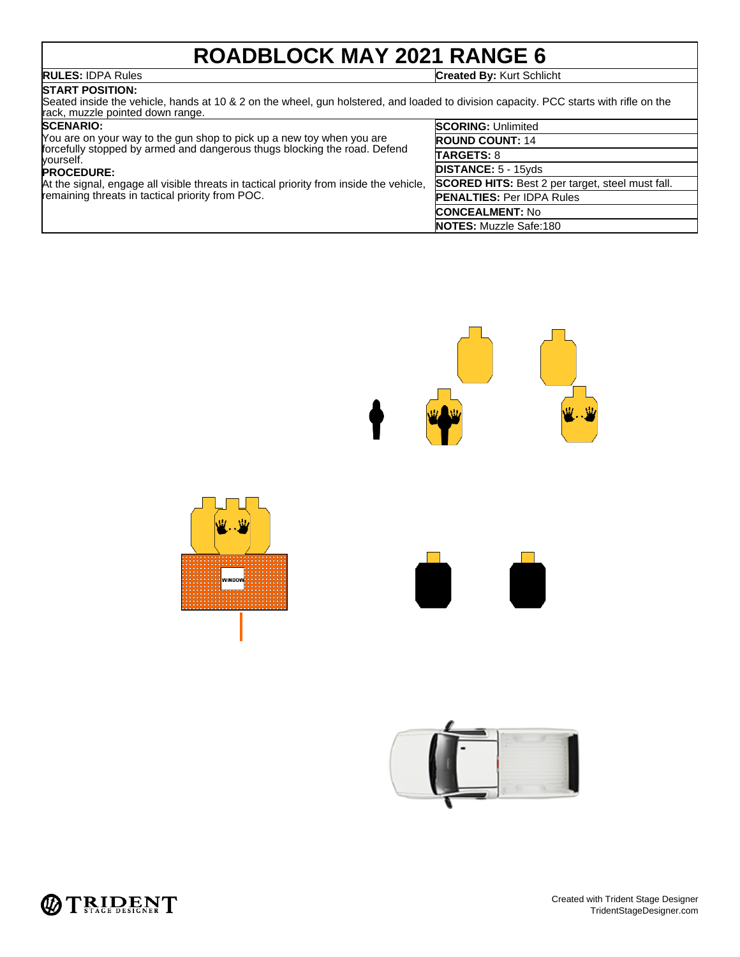# **ROADBLOCK MAY 2021 RANGE 6**

**RULES:** IDPA Rules **Created By:** Kurt Schlicht

## **START POSITION:**

Seated inside the vehicle, hands at 10 & 2 on the wheel, gun holstered, and loaded to division capacity. PCC starts with rifle on the rack, muzzle pointed down range.

### **SCENARIO:**

| <b>SCENARIO:</b>                                                                                                                            | <b>SCORING: Unlimited</b>                               |
|---------------------------------------------------------------------------------------------------------------------------------------------|---------------------------------------------------------|
| You are on your way to the gun shop to pick up a new toy when you are                                                                       | <b>ROUND COUNT: 14</b>                                  |
| forcefully stopped by armed and dangerous thugs blocking the road. Defend<br>vourself.                                                      | <b>TARGETS: 8</b>                                       |
| <b>PROCEDURE:</b>                                                                                                                           | <b>DISTANCE: 5 - 15yds</b>                              |
| At the signal, engage all visible threats in tactical priority from inside the vehicle,<br>remaining threats in tactical priority from POC. | <b>SCORED HITS:</b> Best 2 per target, steel must fall. |
|                                                                                                                                             | <b>PENALTIES: Per IDPA Rules</b>                        |
|                                                                                                                                             | <b>CONCEALMENT: No</b>                                  |
|                                                                                                                                             | <b>NOTES:</b> Muzzle Safe:180                           |



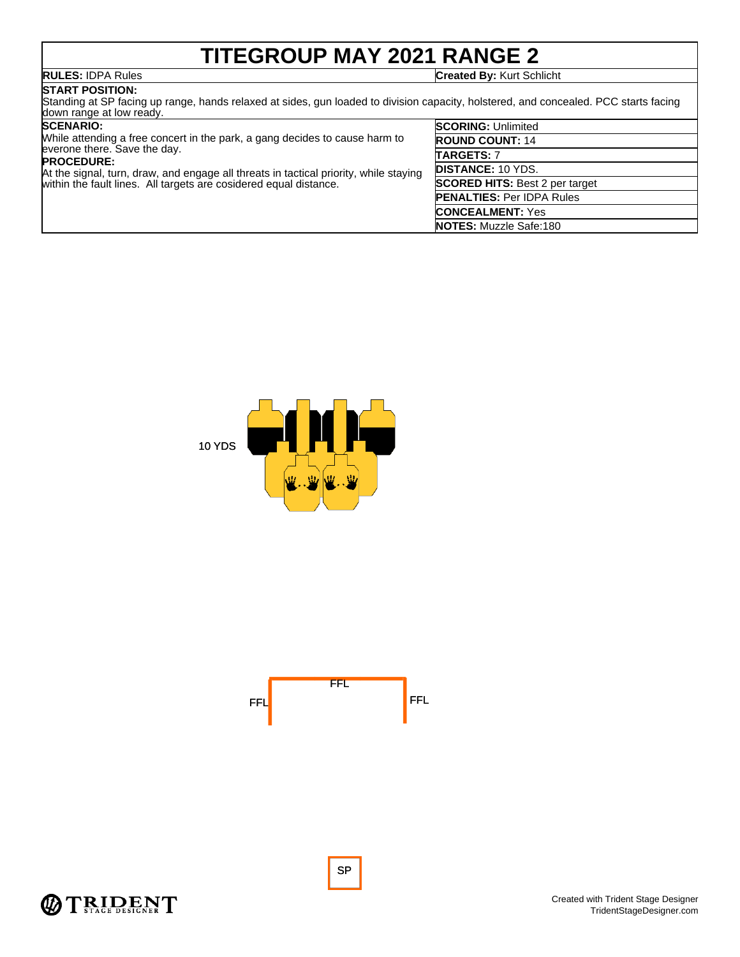# **TITEGROUP MAY 2021 RANGE 2**

**RULES:** IDPA Rules **Created By:** Kurt Schlicht

## **START POSITION:**

Standing at SP facing up range, hands relaxed at sides, gun loaded to division capacity, holstered, and concealed. PCC starts facing down range at low ready.

### **SCENARIO:**

| While attending a free concert in the park, a gang decides to cause harm to           | <b>ROUNI</b> |
|---------------------------------------------------------------------------------------|--------------|
| everone there. Save the day.<br><b>PROCEDURE:</b>                                     | <b>TARGE</b> |
| At the signal, turn, draw, and engage all threats in tactical priority, while staying | <b>DISTA</b> |
| within the fault lines. All targets are cosidered equal distance.                     | <b>SCORE</b> |
|                                                                                       | <b>PENAL</b> |

| <b>SCORING: Unlimited</b>             |
|---------------------------------------|
| <b>ROUND COUNT: 14</b>                |
| <b>TARGETS: 7</b>                     |
| <b>IDISTANCE: 10 YDS.</b>             |
| <b>SCORED HITS: Best 2 per target</b> |
| <b>PENALTIES: Per IDPA Rules</b>      |
| <b>CONCEALMENT: Yes</b>               |
| <b>NOTES:</b> Muzzle Safe:180         |







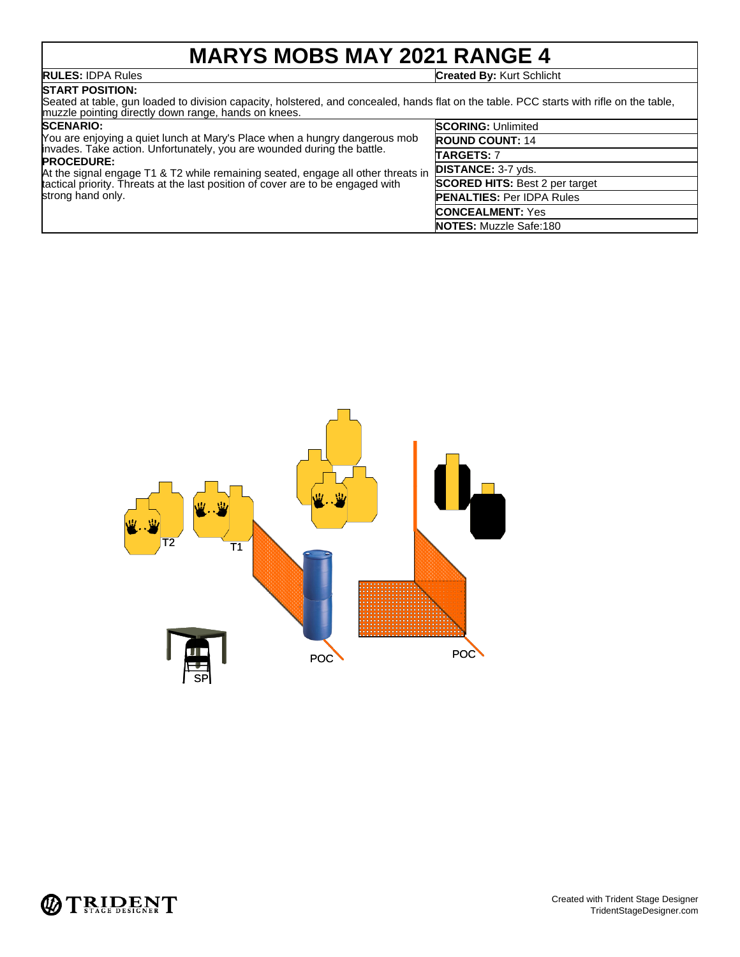## **MARYS MOBS MAY 2021 RANGE 4**

**RULES:** IDPA Rules **Created By:** Kurt Schlicht

**START POSITION:** Seated at table, gun loaded to division capacity, holstered, and concealed, hands flat on the table. PCC starts with rifle on the table, muzzle pointing directly down range, hands on knees. **SCORING:** Unlimited

## **SCENARIO:**

| You are enjoying a quiet lunch at Mary's Place when a hungry dangerous mob                                                                                                               | <b>ROUND COUNT: 14</b>                |
|------------------------------------------------------------------------------------------------------------------------------------------------------------------------------------------|---------------------------------------|
| invades. Take action. Unfortunately, you are wounded during the battle.<br><b>PROCEDURE:</b>                                                                                             | <b>TARGETS: 7</b>                     |
| At the signal engage T1 & T2 while remaining seated, engage all other threats in<br>tactical priority. Threats at the last position of cover are to be engaged with<br>strong hand only. | <b>DISTANCE: 3-7 yds.</b>             |
|                                                                                                                                                                                          | <b>SCORED HITS: Best 2 per target</b> |
|                                                                                                                                                                                          | <b>PENALTIES: Per IDPA Rules</b>      |
|                                                                                                                                                                                          | <b>CONCEALMENT: Yes</b>               |
|                                                                                                                                                                                          | <b>NOTES: Muzzle Safe:180</b>         |